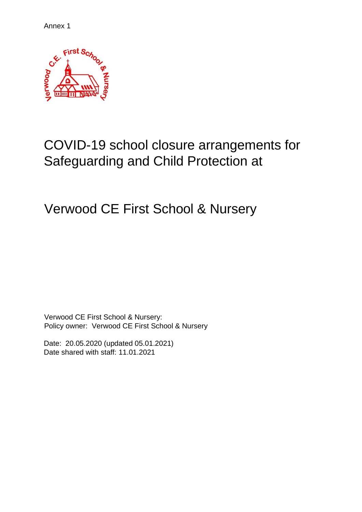Annex 1



# COVID-19 school closure arrangements for Safeguarding and Child Protection at

Verwood CE First School & Nursery

Verwood CE First School & Nursery: Policy owner: Verwood CE First School & Nursery

<span id="page-0-0"></span>Date: 20.05.2020 (updated 05.01.2021) Date shared with staff: 11.01.2021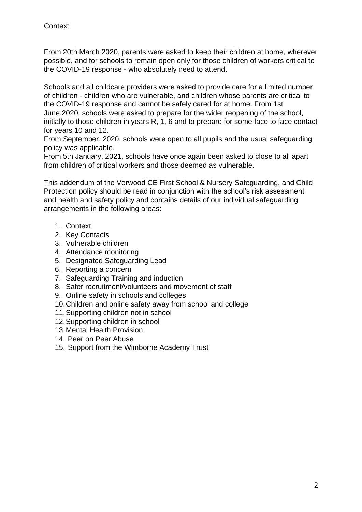From 20th March 2020, parents were asked to keep their children at home, wherever possible, and for schools to remain open only for those children of workers critical to the COVID-19 response - who absolutely need to attend.

Schools and all childcare providers were asked to provide care for a limited number of children - children who are vulnerable, and children whose parents are critical to the COVID-19 response and cannot be safely cared for at home. From 1st June,2020, schools were asked to prepare for the wider reopening of the school, initially to those children in years R, 1, 6 and to prepare for some face to face contact for years 10 and 12.

From September, 2020, schools were open to all pupils and the usual safeguarding policy was applicable.

From 5th January, 2021, schools have once again been asked to close to all apart from children of critical workers and those deemed as vulnerable.

This addendum of the Verwood CE First School & Nursery Safeguarding, and Child Protection policy should be read in conjunction with the school's risk assessment and health and safety policy and contains details of our individual safeguarding arrangements in the following areas:

- 1. [Context](#page-0-0)
- 2. Key Contacts
- 3. [Vulnerable children](#page-2-0)
- 4. [Attendance monitoring](#page-3-0)
- 5. [Designated Safeguarding Lead](#page-4-0)
- 6. [Reporting a concern](#page-5-0)
- 7. [Safeguarding Training and induction](#page-5-1)
- 8. [Safer recruitment/volunteers and movement of staff](#page-6-0)
- 9. [Online safety in schools and colleges](#page-7-0)
- 10[.Children and online safety away from school and college](#page-7-1)
- 11[.Supporting children not in school](#page-8-0)
- 12[.Supporting children in school](#page-9-0)
- 13.Mental Health Provision
- 14. [Peer on Peer Abuse](#page-10-0)
- 15. [Support from the Wimborne Academy Trust](#page-10-1)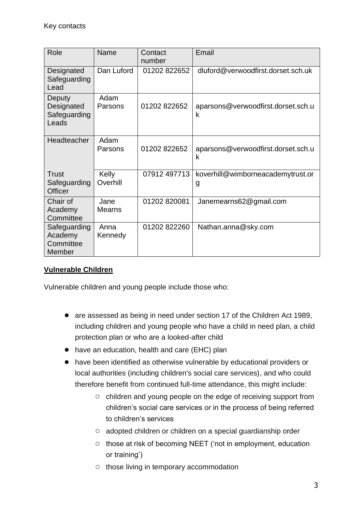| Role                                           | Name                  | Contact<br>number | Email                                   |
|------------------------------------------------|-----------------------|-------------------|-----------------------------------------|
| Designated<br>Safeguarding<br>Lead             | Dan Luford            | 01202 822652      | dluford@verwoodfirst.dorset.sch.uk      |
| Deputy<br>Designated<br>Safeguarding<br>Leads  | Adam<br>Parsons       | 01202 822652      | aparsons@verwoodfirst.dorset.sch.u<br>k |
| <b>Headteacher</b>                             | Adam<br>Parsons       | 01202 822652      | aparsons@verwoodfirst.dorset.sch.u<br>k |
| Trust<br>Safeguarding<br><b>Officer</b>        | Kelly<br>Overhill     | 07912 497713      | koverhill@wimborneacademytrust.or<br>g  |
| Chair of<br>Academy<br>Committee               | Jane<br><b>Mearns</b> | 01202 820081      | Janemearns62@gmail.com                  |
| Safeguarding<br>Academy<br>Committee<br>Member | Anna<br>Kennedy       | 01202 822260      | Nathan.anna@sky.com                     |

# <span id="page-2-0"></span>**Vulnerable Children**

Vulnerable children and young people include those who:

- are assessed as being in need under section 17 of the Children Act 1989, including children and young people who have a child in need plan, a child protection plan or who are a looked-after child
- have an education, health and care (EHC) plan
- have been identified as otherwise vulnerable by educational providers or local authorities (including children's social care services), and who could therefore benefit from continued full-time attendance, this might include:
	- children and young people on the edge of receiving support from children's social care services or in the process of being referred to children's services
	- adopted children or children on a special guardianship order
	- those at risk of becoming NEET ('not in employment, education or training')
	- those living in temporary accommodation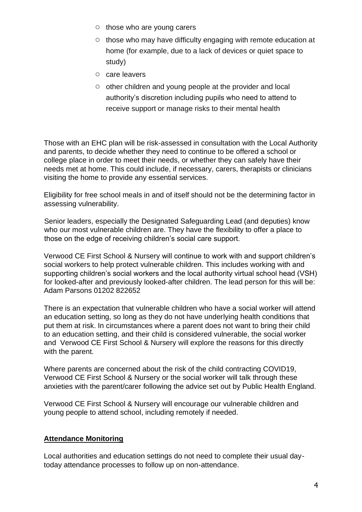- those who are young carers
- those who may have difficulty engaging with remote education at home (for example, due to a lack of devices or quiet space to study)
- care leavers
- other children and young people at the provider and local authority's discretion including pupils who need to attend to receive support or manage risks to their mental health

Those with an EHC plan will be risk-assessed in consultation with the Local Authority and parents, to decide whether they need to continue to be offered a school or college place in order to meet their needs, or whether they can safely have their needs met at home. This could include, if necessary, carers, therapists or clinicians visiting the home to provide any essential services.

Eligibility for free school meals in and of itself should not be the determining factor in assessing vulnerability.

Senior leaders, especially the Designated Safeguarding Lead (and deputies) know who our most vulnerable children are. They have the flexibility to offer a place to those on the edge of receiving children's social care support.

Verwood CE First School & Nursery will continue to work with and support children's social workers to help protect vulnerable children. This includes working with and supporting children's social workers and the local authority virtual school head (VSH) for looked-after and previously looked-after children. The lead person for this will be: Adam Parsons 01202 822652

There is an expectation that vulnerable children who have a social worker will attend an education setting, so long as they do not have underlying health conditions that put them at risk. In circumstances where a parent does not want to bring their child to an education setting, and their child is considered vulnerable, the social worker and Verwood CE First School & Nursery will explore the reasons for this directly with the parent.

Where parents are concerned about the risk of the child contracting COVID19, Verwood CE First School & Nursery or the social worker will talk through these anxieties with the parent/carer following the advice set out by Public Health England.

Verwood CE First School & Nursery will encourage our vulnerable children and young people to attend school, including remotely if needed.

### <span id="page-3-0"></span>**Attendance Monitoring**

Local authorities and education settings do not need to complete their usual daytoday attendance processes to follow up on non-attendance.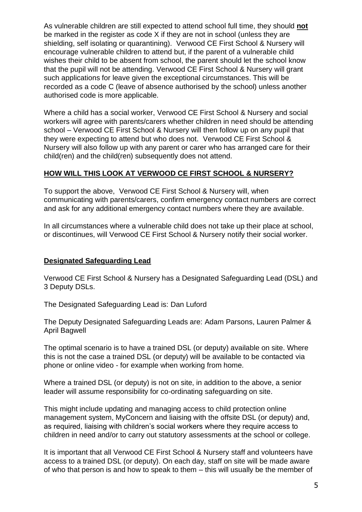As vulnerable children are still expected to attend school full time, they should **not**  be marked in the register as code X if they are not in school (unless they are shielding, self isolating or quarantining). Verwood CE First School & Nursery will encourage vulnerable children to attend but, if the parent of a vulnerable child wishes their child to be absent from school, the parent should let the school know that the pupil will not be attending. Verwood CE First School & Nursery will grant such applications for leave given the exceptional circumstances. This will be recorded as a code C (leave of absence authorised by the school) unless another authorised code is more applicable.

Where a child has a social worker, Verwood CE First School & Nursery and social workers will agree with parents/carers whether children in need should be attending school – Verwood CE First School & Nursery will then follow up on any pupil that they were expecting to attend but who does not. Verwood CE First School & Nursery will also follow up with any parent or carer who has arranged care for their child(ren) and the child(ren) subsequently does not attend.

### **HOW WILL THIS LOOK AT VERWOOD CE FIRST SCHOOL & NURSERY?**

To support the above, Verwood CE First School & Nursery will, when communicating with parents/carers, confirm emergency contact numbers are correct and ask for any additional emergency contact numbers where they are available.

In all circumstances where a vulnerable child does not take up their place at school, or discontinues, will Verwood CE First School & Nursery notify their social worker.

## <span id="page-4-0"></span>**Designated Safeguarding Lead**

Verwood CE First School & Nursery has a Designated Safeguarding Lead (DSL) and 3 Deputy DSLs.

The Designated Safeguarding Lead is: Dan Luford

The Deputy Designated Safeguarding Leads are: Adam Parsons, Lauren Palmer & April Bagwell

The optimal scenario is to have a trained DSL (or deputy) available on site. Where this is not the case a trained DSL (or deputy) will be available to be contacted via phone or online video - for example when working from home.

Where a trained DSL (or deputy) is not on site, in addition to the above, a senior leader will assume responsibility for co-ordinating safeguarding on site.

This might include updating and managing access to child protection online management system, MyConcern and liaising with the offsite DSL (or deputy) and, as required, liaising with children's social workers where they require access to children in need and/or to carry out statutory assessments at the school or college.

It is important that all Verwood CE First School & Nursery staff and volunteers have access to a trained DSL (or deputy). On each day, staff on site will be made aware of who that person is and how to speak to them – this will usually be the member of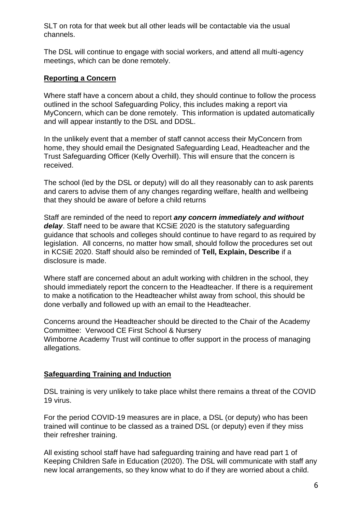SLT on rota for that week but all other leads will be contactable via the usual channels.

The DSL will continue to engage with social workers, and attend all multi-agency meetings, which can be done remotely.

#### <span id="page-5-0"></span>**Reporting a Concern**

Where staff have a concern about a child, they should continue to follow the process outlined in the school Safeguarding Policy, this includes making a report via MyConcern, which can be done remotely. This information is updated automatically and will appear instantly to the DSL and DDSL.

In the unlikely event that a member of staff cannot access their MyConcern from home, they should email the Designated Safeguarding Lead, Headteacher and the Trust Safeguarding Officer (Kelly Overhill). This will ensure that the concern is received.

The school (led by the DSL or deputy) will do all they reasonably can to ask parents and carers to advise them of any changes regarding welfare, health and wellbeing that they should be aware of before a child returns

Staff are reminded of the need to report *any concern immediately and without delay*. Staff need to be aware that KCSiE 2020 is the statutory safeguarding guidance that schools and colleges should continue to have regard to as required by legislation. All concerns, no matter how small, should follow the procedures set out in KCSiE 2020. Staff should also be reminded of **Tell, Explain, Describe** if a disclosure is made.

Where staff are concerned about an adult working with children in the school, they should immediately report the concern to the Headteacher. If there is a requirement to make a notification to the Headteacher whilst away from school, this should be done verbally and followed up with an email to the Headteacher.

Concerns around the Headteacher should be directed to the Chair of the Academy Committee: Verwood CE First School & Nursery Wimborne Academy Trust will continue to offer support in the process of managing allegations.

#### <span id="page-5-1"></span>**Safeguarding Training and Induction**

DSL training is very unlikely to take place whilst there remains a threat of the COVID 19 virus.

For the period COVID-19 measures are in place, a DSL (or deputy) who has been trained will continue to be classed as a trained DSL (or deputy) even if they miss their refresher training.

All existing school staff have had safeguarding training and have read part 1 of Keeping Children Safe in Education (2020). The DSL will communicate with staff any new local arrangements, so they know what to do if they are worried about a child.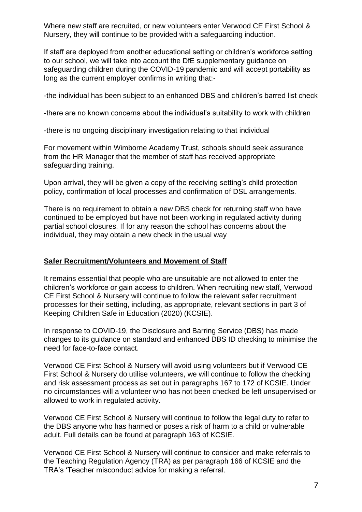Where new staff are recruited, or new volunteers enter Verwood CE First School & Nursery, they will continue to be provided with a safeguarding induction.

If staff are deployed from another educational setting or children's workforce setting to our school, we will take into account the DfE supplementary guidance on safeguarding children during the COVID-19 pandemic and will accept portability as long as the current employer confirms in writing that:-

-the individual has been subject to an enhanced DBS and children's barred list check

-there are no known concerns about the individual's suitability to work with children

-there is no ongoing disciplinary investigation relating to that individual

For movement within Wimborne Academy Trust, schools should seek assurance from the HR Manager that the member of staff has received appropriate safeguarding training.

Upon arrival, they will be given a copy of the receiving setting's child protection policy, confirmation of local processes and confirmation of DSL arrangements.

There is no requirement to obtain a new DBS check for returning staff who have continued to be employed but have not been working in regulated activity during partial school closures. If for any reason the school has concerns about the individual, they may obtain a new check in the usual way

#### <span id="page-6-0"></span>**Safer Recruitment/Volunteers and Movement of Staff**

It remains essential that people who are unsuitable are not allowed to enter the children's workforce or gain access to children. When recruiting new staff, Verwood CE First School & Nursery will continue to follow the relevant safer recruitment processes for their setting, including, as appropriate, relevant sections in part 3 of Keeping Children Safe in Education (2020) (KCSIE).

In response to COVID-19, the Disclosure and Barring Service (DBS) has made changes to its guidance on standard and enhanced DBS ID checking to minimise the need for face-to-face contact.

Verwood CE First School & Nursery will avoid using volunteers but if Verwood CE First School & Nursery do utilise volunteers, we will continue to follow the checking and risk assessment process as set out in paragraphs 167 to 172 of KCSIE. Under no circumstances will a volunteer who has not been checked be left unsupervised or allowed to work in regulated activity.

Verwood CE First School & Nursery will continue to follow the legal duty to refer to the DBS anyone who has harmed or poses a risk of harm to a child or vulnerable adult. Full details can be found at paragraph 163 of KCSIE.

Verwood CE First School & Nursery will continue to consider and make referrals to the Teaching Regulation Agency (TRA) as per paragraph 166 of KCSIE and the TRA's 'Teacher misconduct advice for making a referral.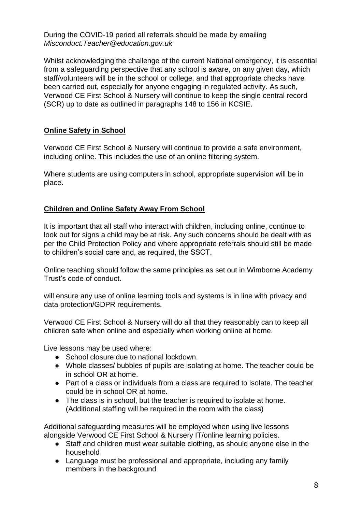During the COVID-19 period all referrals should be made by emailing *Misconduct.Teacher@education.gov.uk* 

Whilst acknowledging the challenge of the current National emergency, it is essential from a safeguarding perspective that any school is aware, on any given day, which staff/volunteers will be in the school or college, and that appropriate checks have been carried out, especially for anyone engaging in regulated activity. As such, Verwood CE First School & Nursery will continue to keep the single central record (SCR) up to date as outlined in paragraphs 148 to 156 in KCSIE.

### <span id="page-7-0"></span>**Online Safety in School**

Verwood CE First School & Nursery will continue to provide a safe environment, including online. This includes the use of an online filtering system.

Where students are using computers in school, appropriate supervision will be in place.

### <span id="page-7-1"></span>**Children and Online Safety Away From School**

It is important that all staff who interact with children, including online, continue to look out for signs a child may be at risk. Any such concerns should be dealt with as per the Child Protection Policy and where appropriate referrals should still be made to children's social care and, as required, the SSCT.

Online teaching should follow the same principles as set out in Wimborne Academy Trust's code of conduct.

will ensure any use of online learning tools and systems is in line with privacy and data protection/GDPR requirements.

Verwood CE First School & Nursery will do all that they reasonably can to keep all children safe when online and especially when working online at home.

Live lessons may be used where:

- School closure due to national lockdown.
- Whole classes/ bubbles of pupils are isolating at home. The teacher could be in school OR at home.
- Part of a class or individuals from a class are required to isolate. The teacher could be in school OR at home.
- The class is in school, but the teacher is required to isolate at home. (Additional staffing will be required in the room with the class)

Additional safeguarding measures will be employed when using live lessons alongside Verwood CE First School & Nursery IT/online learning policies.

- Staff and children must wear suitable clothing, as should anyone else in the household
- Language must be professional and appropriate, including any family members in the background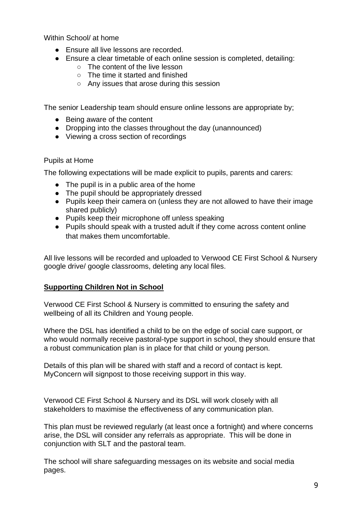Within School/ at home

- Ensure all live lessons are recorded.
- Ensure a clear timetable of each online session is completed, detailing:
	- The content of the live lesson
	- The time it started and finished
	- Any issues that arose during this session

The senior Leadership team should ensure online lessons are appropriate by;

- Being aware of the content
- Dropping into the classes throughout the day (unannounced)
- Viewing a cross section of recordings

#### Pupils at Home

The following expectations will be made explicit to pupils, parents and carers:

- The pupil is in a public area of the home
- The pupil should be appropriately dressed
- Pupils keep their camera on (unless they are not allowed to have their image shared publicly)
- Pupils keep their microphone off unless speaking
- Pupils should speak with a trusted adult if they come across content online that makes them uncomfortable.

All live lessons will be recorded and uploaded to Verwood CE First School & Nursery google drive/ google classrooms, deleting any local files.

### <span id="page-8-0"></span>**Supporting Children Not in School**

Verwood CE First School & Nursery is committed to ensuring the safety and wellbeing of all its Children and Young people.

Where the DSL has identified a child to be on the edge of social care support, or who would normally receive pastoral-type support in school, they should ensure that a robust communication plan is in place for that child or young person.

Details of this plan will be shared with staff and a record of contact is kept. MyConcern will signpost to those receiving support in this way.

Verwood CE First School & Nursery and its DSL will work closely with all stakeholders to maximise the effectiveness of any communication plan.

This plan must be reviewed regularly (at least once a fortnight) and where concerns arise, the DSL will consider any referrals as appropriate. This will be done in conjunction with SLT and the pastoral team.

The school will share safeguarding messages on its website and social media pages.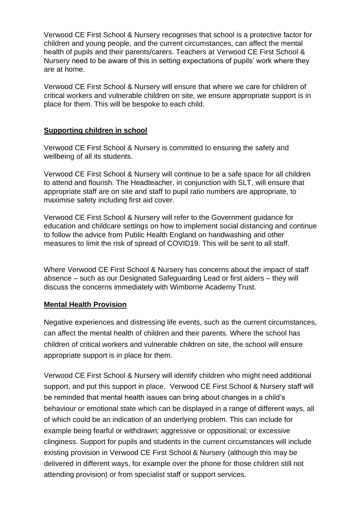Verwood CE First School & Nursery recognises that school is a protective factor for children and young people, and the current circumstances, can affect the mental health of pupils and their parents/carers. Teachers at Verwood CE First School & Nursery need to be aware of this in setting expectations of pupils' work where they are at home.

Verwood CE First School & Nursery will ensure that where we care for children of critical workers and vulnerable children on site, we ensure appropriate support is in place for them. This will be bespoke to each child.

#### <span id="page-9-0"></span>**Supporting children in school**

Verwood CE First School & Nursery is committed to ensuring the safety and wellbeing of all its students.

Verwood CE First School & Nursery will continue to be a safe space for all children to attend and flourish. The Headteacher, in conjunction with SLT, will ensure that appropriate staff are on site and staff to pupil ratio numbers are appropriate, to maximise safety including first aid cover.

Verwood CE First School & Nursery will refer to the Government guidance for education and childcare settings on how to implement social distancing and continue to follow the advice from Public Health England on handwashing and other measures to limit the risk of spread of COVID19. This will be sent to all staff.

Where Verwood CE First School & Nursery has concerns about the impact of staff absence – such as our Designated Safeguarding Lead or first aiders – they will discuss the concerns immediately with Wimborne Academy Trust.

#### **Mental Health Provision**

Negative experiences and distressing life events, such as the current circumstances, can affect the mental health of children and their parents. Where the school has children of critical workers and vulnerable children on site, the school will ensure appropriate support is in place for them.

Verwood CE First School & Nursery will identify children who might need additional support, and put this support in place. Verwood CE First School & Nursery staff will be reminded that mental health issues can bring about changes in a child's behaviour or emotional state which can be displayed in a range of different ways, all of which could be an indication of an underlying problem. This can include for example being fearful or withdrawn; aggressive or oppositional; or excessive clinginess. Support for pupils and students in the current circumstances will include existing provision in Verwood CE First School & Nursery (although this may be delivered in different ways, for example over the phone for those children still not attending provision) or from specialist staff or support services.